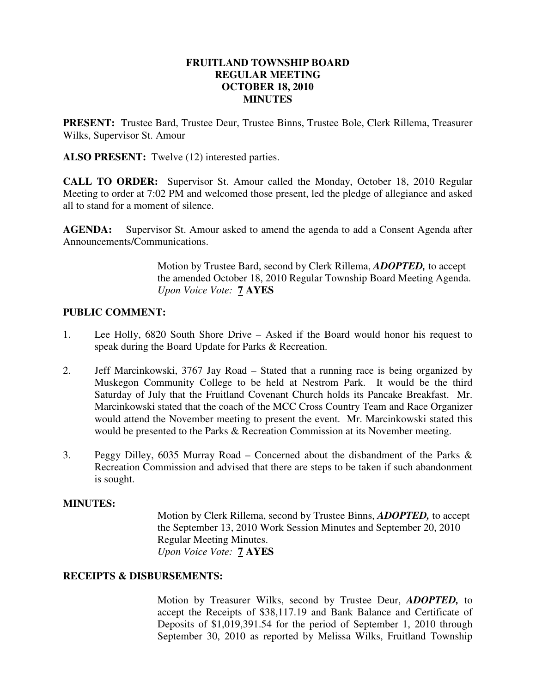## **FRUITLAND TOWNSHIP BOARD REGULAR MEETING OCTOBER 18, 2010 MINUTES**

**PRESENT:** Trustee Bard, Trustee Deur, Trustee Binns, Trustee Bole, Clerk Rillema, Treasurer Wilks, Supervisor St. Amour

**ALSO PRESENT:** Twelve (12) interested parties.

**CALL TO ORDER:** Supervisor St. Amour called the Monday, October 18, 2010 Regular Meeting to order at 7:02 PM and welcomed those present, led the pledge of allegiance and asked all to stand for a moment of silence.

**AGENDA:** Supervisor St. Amour asked to amend the agenda to add a Consent Agenda after Announcements/Communications.

> Motion by Trustee Bard, second by Clerk Rillema, *ADOPTED,* to accept the amended October 18, 2010 Regular Township Board Meeting Agenda. *Upon Voice Vote:* **7 AYES**

## **PUBLIC COMMENT:**

- 1. Lee Holly, 6820 South Shore Drive Asked if the Board would honor his request to speak during the Board Update for Parks & Recreation.
- 2. Jeff Marcinkowski, 3767 Jay Road Stated that a running race is being organized by Muskegon Community College to be held at Nestrom Park. It would be the third Saturday of July that the Fruitland Covenant Church holds its Pancake Breakfast. Mr. Marcinkowski stated that the coach of the MCC Cross Country Team and Race Organizer would attend the November meeting to present the event. Mr. Marcinkowski stated this would be presented to the Parks & Recreation Commission at its November meeting.
- 3. Peggy Dilley, 6035 Murray Road Concerned about the disbandment of the Parks & Recreation Commission and advised that there are steps to be taken if such abandonment is sought.

## **MINUTES:**

Motion by Clerk Rillema, second by Trustee Binns, *ADOPTED,* to accept the September 13, 2010 Work Session Minutes and September 20, 2010 Regular Meeting Minutes. *Upon Voice Vote:* **7 AYES** 

## **RECEIPTS & DISBURSEMENTS:**

Motion by Treasurer Wilks, second by Trustee Deur, *ADOPTED,* to accept the Receipts of \$38,117.19 and Bank Balance and Certificate of Deposits of \$1,019,391.54 for the period of September 1, 2010 through September 30, 2010 as reported by Melissa Wilks, Fruitland Township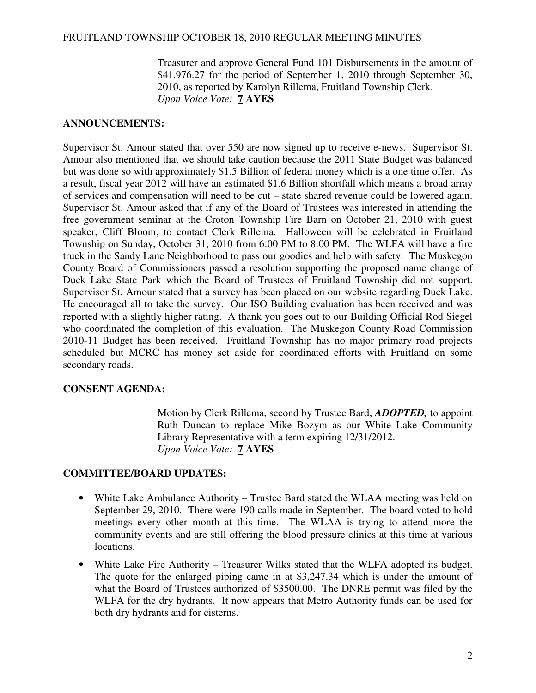Treasurer and approve General Fund 101 Disbursements in the amount of \$41,976.27 for the period of September 1, 2010 through September 30, 2010, as reported by Karolyn Rillema, Fruitland Township Clerk. *Upon Voice Vote:* **7 AYES** 

## **ANNOUNCEMENTS:**

Supervisor St. Amour stated that over 550 are now signed up to receive e-news. Supervisor St. Amour also mentioned that we should take caution because the 2011 State Budget was balanced but was done so with approximately \$1.5 Billion of federal money which is a one time offer. As a result, fiscal year 2012 will have an estimated \$1.6 Billion shortfall which means a broad array of services and compensation will need to be cut – state shared revenue could be lowered again. Supervisor St. Amour asked that if any of the Board of Trustees was interested in attending the free government seminar at the Croton Township Fire Barn on October 21, 2010 with guest speaker, Cliff Bloom, to contact Clerk Rillema. Halloween will be celebrated in Fruitland Township on Sunday, October 31, 2010 from 6:00 PM to 8:00 PM. The WLFA will have a fire truck in the Sandy Lane Neighborhood to pass our goodies and help with safety. The Muskegon County Board of Commissioners passed a resolution supporting the proposed name change of Duck Lake State Park which the Board of Trustees of Fruitland Township did not support. Supervisor St. Amour stated that a survey has been placed on our website regarding Duck Lake. He encouraged all to take the survey. Our ISO Building evaluation has been received and was reported with a slightly higher rating. A thank you goes out to our Building Official Rod Siegel who coordinated the completion of this evaluation. The Muskegon County Road Commission 2010-11 Budget has been received. Fruitland Township has no major primary road projects scheduled but MCRC has money set aside for coordinated efforts with Fruitland on some secondary roads.

## **CONSENT AGENDA:**

Motion by Clerk Rillema, second by Trustee Bard, *ADOPTED,* to appoint Ruth Duncan to replace Mike Bozym as our White Lake Community Library Representative with a term expiring 12/31/2012. *Upon Voice Vote:* **7 AYES** 

# **COMMITTEE/BOARD UPDATES:**

- White Lake Ambulance Authority Trustee Bard stated the WLAA meeting was held on September 29, 2010. There were 190 calls made in September. The board voted to hold meetings every other month at this time. The WLAA is trying to attend more the community events and are still offering the blood pressure clinics at this time at various locations.
- White Lake Fire Authority Treasurer Wilks stated that the WLFA adopted its budget. The quote for the enlarged piping came in at \$3,247.34 which is under the amount of what the Board of Trustees authorized of \$3500.00. The DNRE permit was filed by the WLFA for the dry hydrants. It now appears that Metro Authority funds can be used for both dry hydrants and for cisterns.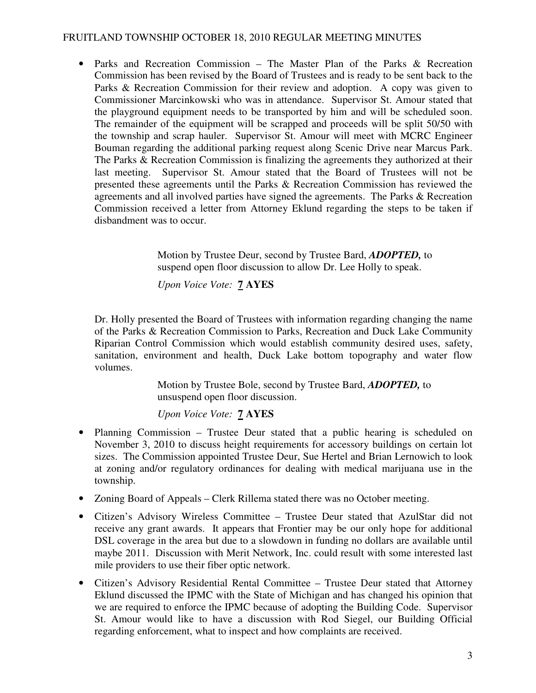• Parks and Recreation Commission – The Master Plan of the Parks & Recreation Commission has been revised by the Board of Trustees and is ready to be sent back to the Parks & Recreation Commission for their review and adoption. A copy was given to Commissioner Marcinkowski who was in attendance. Supervisor St. Amour stated that the playground equipment needs to be transported by him and will be scheduled soon. The remainder of the equipment will be scrapped and proceeds will be split 50/50 with the township and scrap hauler. Supervisor St. Amour will meet with MCRC Engineer Bouman regarding the additional parking request along Scenic Drive near Marcus Park. The Parks & Recreation Commission is finalizing the agreements they authorized at their last meeting. Supervisor St. Amour stated that the Board of Trustees will not be presented these agreements until the Parks & Recreation Commission has reviewed the agreements and all involved parties have signed the agreements. The Parks & Recreation Commission received a letter from Attorney Eklund regarding the steps to be taken if disbandment was to occur.

> Motion by Trustee Deur, second by Trustee Bard, *ADOPTED,* to suspend open floor discussion to allow Dr. Lee Holly to speak.

*Upon Voice Vote:* **7 AYES** 

 Dr. Holly presented the Board of Trustees with information regarding changing the name of the Parks & Recreation Commission to Parks, Recreation and Duck Lake Community Riparian Control Commission which would establish community desired uses, safety, sanitation, environment and health, Duck Lake bottom topography and water flow volumes.

> Motion by Trustee Bole, second by Trustee Bard, *ADOPTED,* to unsuspend open floor discussion.

*Upon Voice Vote:* **7 AYES** 

- Planning Commission Trustee Deur stated that a public hearing is scheduled on November 3, 2010 to discuss height requirements for accessory buildings on certain lot sizes. The Commission appointed Trustee Deur, Sue Hertel and Brian Lernowich to look at zoning and/or regulatory ordinances for dealing with medical marijuana use in the township.
- Zoning Board of Appeals Clerk Rillema stated there was no October meeting.
- Citizen's Advisory Wireless Committee Trustee Deur stated that AzulStar did not receive any grant awards. It appears that Frontier may be our only hope for additional DSL coverage in the area but due to a slowdown in funding no dollars are available until maybe 2011. Discussion with Merit Network, Inc. could result with some interested last mile providers to use their fiber optic network.
- Citizen's Advisory Residential Rental Committee Trustee Deur stated that Attorney Eklund discussed the IPMC with the State of Michigan and has changed his opinion that we are required to enforce the IPMC because of adopting the Building Code. Supervisor St. Amour would like to have a discussion with Rod Siegel, our Building Official regarding enforcement, what to inspect and how complaints are received.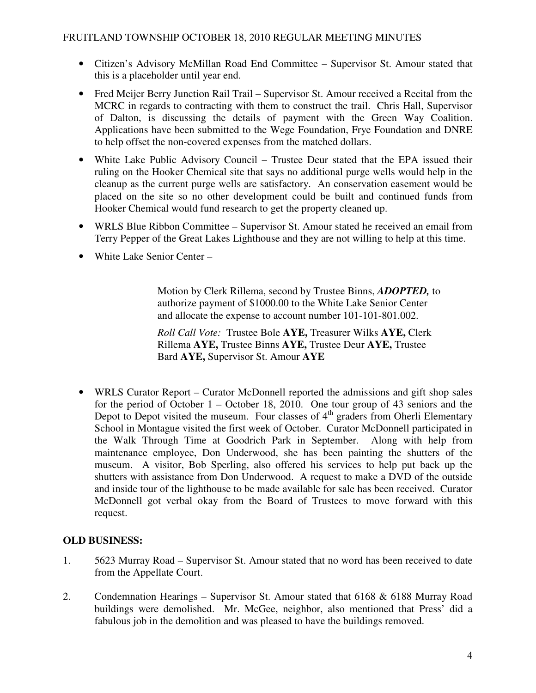- Citizen's Advisory McMillan Road End Committee Supervisor St. Amour stated that this is a placeholder until year end.
- Fred Meijer Berry Junction Rail Trail Supervisor St. Amour received a Recital from the MCRC in regards to contracting with them to construct the trail. Chris Hall, Supervisor of Dalton, is discussing the details of payment with the Green Way Coalition. Applications have been submitted to the Wege Foundation, Frye Foundation and DNRE to help offset the non-covered expenses from the matched dollars.
- White Lake Public Advisory Council Trustee Deur stated that the EPA issued their ruling on the Hooker Chemical site that says no additional purge wells would help in the cleanup as the current purge wells are satisfactory. An conservation easement would be placed on the site so no other development could be built and continued funds from Hooker Chemical would fund research to get the property cleaned up.
- WRLS Blue Ribbon Committee Supervisor St. Amour stated he received an email from Terry Pepper of the Great Lakes Lighthouse and they are not willing to help at this time.
- White Lake Senior Center –

 Motion by Clerk Rillema, second by Trustee Binns, *ADOPTED,* to authorize payment of \$1000.00 to the White Lake Senior Center and allocate the expense to account number 101-101-801.002.

 *Roll Call Vote:* Trustee Bole **AYE,** Treasurer Wilks **AYE,** Clerk Rillema **AYE,** Trustee Binns **AYE,** Trustee Deur **AYE,** Trustee Bard **AYE,** Supervisor St. Amour **AYE**

• WRLS Curator Report – Curator McDonnell reported the admissions and gift shop sales for the period of October 1 – October 18, 2010. One tour group of 43 seniors and the Depot to Depot visited the museum. Four classes of 4<sup>th</sup> graders from Oherli Elementary School in Montague visited the first week of October. Curator McDonnell participated in the Walk Through Time at Goodrich Park in September. Along with help from maintenance employee, Don Underwood, she has been painting the shutters of the museum. A visitor, Bob Sperling, also offered his services to help put back up the shutters with assistance from Don Underwood. A request to make a DVD of the outside and inside tour of the lighthouse to be made available for sale has been received. Curator McDonnell got verbal okay from the Board of Trustees to move forward with this request.

# **OLD BUSINESS:**

- 1. 5623 Murray Road Supervisor St. Amour stated that no word has been received to date from the Appellate Court.
- 2. Condemnation Hearings Supervisor St. Amour stated that 6168 & 6188 Murray Road buildings were demolished. Mr. McGee, neighbor, also mentioned that Press' did a fabulous job in the demolition and was pleased to have the buildings removed.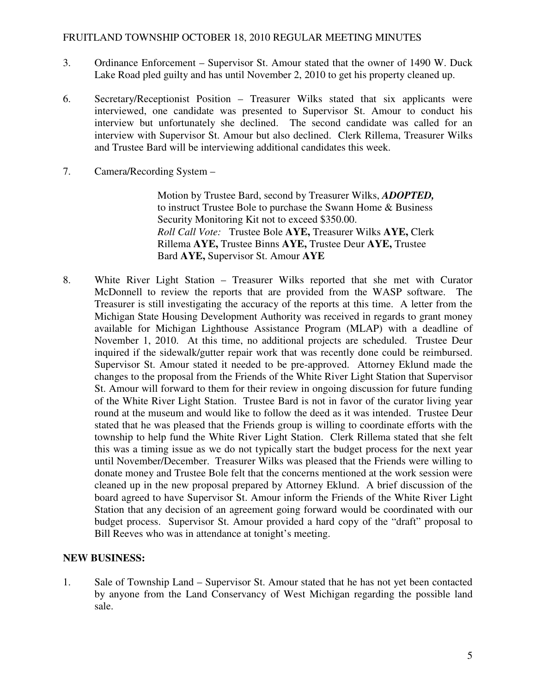- 3. Ordinance Enforcement Supervisor St. Amour stated that the owner of 1490 W. Duck Lake Road pled guilty and has until November 2, 2010 to get his property cleaned up.
- 6. Secretary/Receptionist Position Treasurer Wilks stated that six applicants were interviewed, one candidate was presented to Supervisor St. Amour to conduct his interview but unfortunately she declined. The second candidate was called for an interview with Supervisor St. Amour but also declined. Clerk Rillema, Treasurer Wilks and Trustee Bard will be interviewing additional candidates this week.
- 7. Camera/Recording System –

 Motion by Trustee Bard, second by Treasurer Wilks, *ADOPTED,* to instruct Trustee Bole to purchase the Swann Home & Business Security Monitoring Kit not to exceed \$350.00. *Roll Call Vote:* Trustee Bole **AYE,** Treasurer Wilks **AYE,** Clerk Rillema **AYE,** Trustee Binns **AYE,** Trustee Deur **AYE,** Trustee Bard **AYE,** Supervisor St. Amour **AYE**

8. White River Light Station – Treasurer Wilks reported that she met with Curator McDonnell to review the reports that are provided from the WASP software. The Treasurer is still investigating the accuracy of the reports at this time. A letter from the Michigan State Housing Development Authority was received in regards to grant money available for Michigan Lighthouse Assistance Program (MLAP) with a deadline of November 1, 2010. At this time, no additional projects are scheduled. Trustee Deur inquired if the sidewalk/gutter repair work that was recently done could be reimbursed. Supervisor St. Amour stated it needed to be pre-approved. Attorney Eklund made the changes to the proposal from the Friends of the White River Light Station that Supervisor St. Amour will forward to them for their review in ongoing discussion for future funding of the White River Light Station. Trustee Bard is not in favor of the curator living year round at the museum and would like to follow the deed as it was intended. Trustee Deur stated that he was pleased that the Friends group is willing to coordinate efforts with the township to help fund the White River Light Station. Clerk Rillema stated that she felt this was a timing issue as we do not typically start the budget process for the next year until November/December. Treasurer Wilks was pleased that the Friends were willing to donate money and Trustee Bole felt that the concerns mentioned at the work session were cleaned up in the new proposal prepared by Attorney Eklund. A brief discussion of the board agreed to have Supervisor St. Amour inform the Friends of the White River Light Station that any decision of an agreement going forward would be coordinated with our budget process. Supervisor St. Amour provided a hard copy of the "draft" proposal to Bill Reeves who was in attendance at tonight's meeting.

## **NEW BUSINESS:**

1. Sale of Township Land – Supervisor St. Amour stated that he has not yet been contacted by anyone from the Land Conservancy of West Michigan regarding the possible land sale.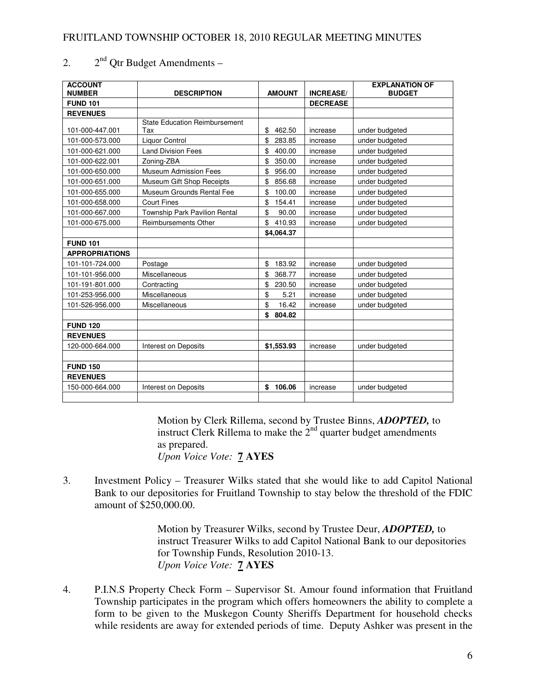| <b>ACCOUNT</b><br><b>NUMBER</b> | <b>DESCRIPTION</b>                   | <b>AMOUNT</b> | <b>INCREASE/</b> | <b>EXPLANATION OF</b><br><b>BUDGET</b> |
|---------------------------------|--------------------------------------|---------------|------------------|----------------------------------------|
| <b>FUND 101</b>                 |                                      |               | <b>DECREASE</b>  |                                        |
| <b>REVENUES</b>                 |                                      |               |                  |                                        |
|                                 | <b>State Education Reimbursement</b> |               |                  |                                        |
| 101-000-447.001                 | Tax                                  | \$<br>462.50  | increase         | under budgeted                         |
| 101-000-573.000                 | <b>Liquor Control</b>                | \$<br>283.85  | increase         | under budgeted                         |
| 101-000-621.000                 | <b>Land Division Fees</b>            | \$<br>400.00  | increase         | under budgeted                         |
| 101-000-622.001                 | Zoning-ZBA                           | \$<br>350.00  | increase         | under budgeted                         |
| 101-000-650.000                 | <b>Museum Admission Fees</b>         | \$<br>956.00  | increase         | under budgeted                         |
| 101-000-651.000                 | Museum Gift Shop Receipts            | \$<br>856.68  | increase         | under budgeted                         |
| 101-000-655.000                 | Museum Grounds Rental Fee            | \$<br>100.00  | increase         | under budgeted                         |
| 101-000-658.000                 | <b>Court Fines</b>                   | \$<br>154.41  | increase         | under budgeted                         |
| 101-000-667.000                 | Township Park Pavilion Rental        | \$<br>90.00   | increase         | under budgeted                         |
| 101-000-675.000                 | <b>Reimbursements Other</b>          | \$<br>410.93  | increase         | under budgeted                         |
|                                 |                                      | \$4,064.37    |                  |                                        |
| <b>FUND 101</b>                 |                                      |               |                  |                                        |
| <b>APPROPRIATIONS</b>           |                                      |               |                  |                                        |
| 101-101-724.000                 | Postage                              | \$<br>183.92  | increase         | under budgeted                         |
| 101-101-956.000                 | Miscellaneous                        | \$<br>368.77  | increase         | under budgeted                         |
| 101-191-801.000                 | Contracting                          | \$<br>230.50  | increase         | under budgeted                         |
| 101-253-956.000                 | Miscellaneous                        | \$<br>5.21    | increase         | under budgeted                         |
| 101-526-956.000                 | <b>Miscellaneous</b>                 | \$<br>16.42   | increase         | under budgeted                         |
|                                 |                                      | \$<br>804.82  |                  |                                        |
| <b>FUND 120</b>                 |                                      |               |                  |                                        |
| <b>REVENUES</b>                 |                                      |               |                  |                                        |
| 120-000-664.000                 | <b>Interest on Deposits</b>          | \$1,553.93    | increase         | under budgeted                         |
|                                 |                                      |               |                  |                                        |
| <b>FUND 150</b>                 |                                      |               |                  |                                        |
| <b>REVENUES</b>                 |                                      |               |                  |                                        |
| 150-000-664.000                 | Interest on Deposits                 | \$<br>106.06  | increase         | under budgeted                         |

2.  $2^{nd}$  Qtr Budget Amendments –

 Motion by Clerk Rillema, second by Trustee Binns, *ADOPTED,* to instruct Clerk Rillema to make the  $2<sup>nd</sup>$  quarter budget amendments as prepared.

*Upon Voice Vote:* **7 AYES** 

3. Investment Policy – Treasurer Wilks stated that she would like to add Capitol National Bank to our depositories for Fruitland Township to stay below the threshold of the FDIC amount of \$250,000.00.

> Motion by Treasurer Wilks, second by Trustee Deur, *ADOPTED,* to instruct Treasurer Wilks to add Capitol National Bank to our depositories for Township Funds, Resolution 2010-13. *Upon Voice Vote:* **7 AYES**

4. P.I.N.S Property Check Form – Supervisor St. Amour found information that Fruitland Township participates in the program which offers homeowners the ability to complete a form to be given to the Muskegon County Sheriffs Department for household checks while residents are away for extended periods of time. Deputy Ashker was present in the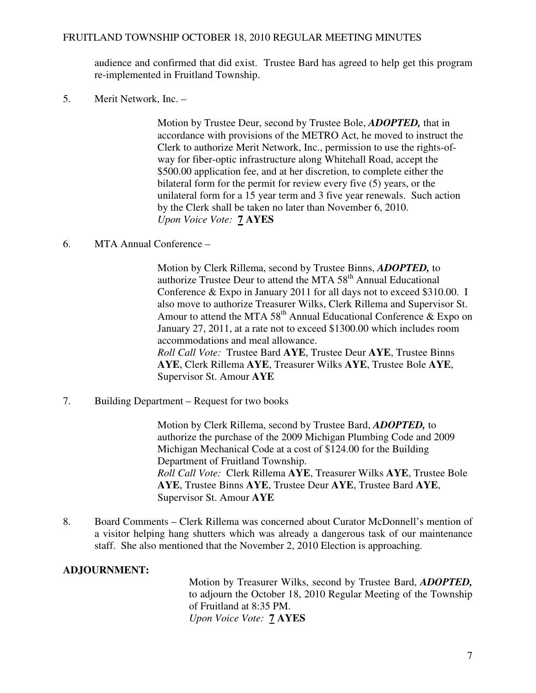audience and confirmed that did exist. Trustee Bard has agreed to help get this program re-implemented in Fruitland Township.

5. Merit Network, Inc. –

 Motion by Trustee Deur, second by Trustee Bole, *ADOPTED,* that in accordance with provisions of the METRO Act, he moved to instruct the Clerk to authorize Merit Network, Inc., permission to use the rights-of way for fiber-optic infrastructure along Whitehall Road, accept the \$500.00 application fee, and at her discretion, to complete either the bilateral form for the permit for review every five (5) years, or the unilateral form for a 15 year term and 3 five year renewals. Such action by the Clerk shall be taken no later than November 6, 2010. *Upon Voice Vote:* **7 AYES** 

6. MTA Annual Conference –

 Motion by Clerk Rillema, second by Trustee Binns, *ADOPTED,* to authorize Trustee Deur to attend the MTA  $58<sup>th</sup>$  Annual Educational Conference & Expo in January 2011 for all days not to exceed \$310.00. I also move to authorize Treasurer Wilks, Clerk Rillema and Supervisor St. Amour to attend the MTA  $58<sup>th</sup>$  Annual Educational Conference & Expo on January 27, 2011, at a rate not to exceed \$1300.00 which includes room accommodations and meal allowance. *Roll Call Vote:* Trustee Bard **AYE**, Trustee Deur **AYE**, Trustee Binns **AYE**, Clerk Rillema **AYE**, Treasurer Wilks **AYE**, Trustee Bole **AYE**, Supervisor St. Amour **AYE**

7. Building Department – Request for two books

 Motion by Clerk Rillema, second by Trustee Bard, *ADOPTED,* to authorize the purchase of the 2009 Michigan Plumbing Code and 2009 Michigan Mechanical Code at a cost of \$124.00 for the Building Department of Fruitland Township. *Roll Call Vote:* Clerk Rillema **AYE**, Treasurer Wilks **AYE**, Trustee Bole **AYE**, Trustee Binns **AYE**, Trustee Deur **AYE**, Trustee Bard **AYE**, Supervisor St. Amour **AYE**

8. Board Comments – Clerk Rillema was concerned about Curator McDonnell's mention of a visitor helping hang shutters which was already a dangerous task of our maintenance staff. She also mentioned that the November 2, 2010 Election is approaching.

# **ADJOURNMENT:**

Motion by Treasurer Wilks, second by Trustee Bard, *ADOPTED,*  to adjourn the October 18, 2010 Regular Meeting of the Township of Fruitland at 8:35 PM. *Upon Voice Vote:* **7 AYES**